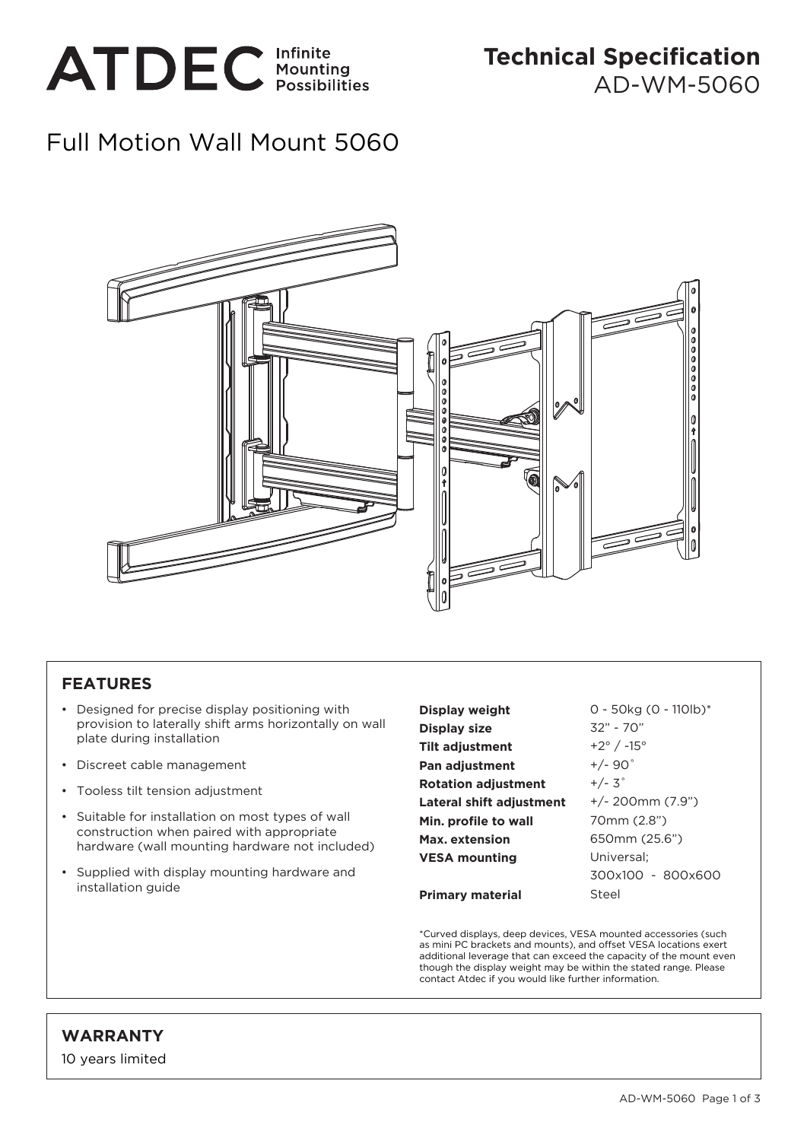

## Full Motion Wall Mount 5060



## **FEATURES**

- Designed for precise display positioning with provision to laterally shift arms horizontally on wall plate during installation
- Discreet cable management
- Tooless tilt tension adjustment
- Suitable for installation on most types of wall construction when paired with appropriate hardware (wall mounting hardware not included)
- Supplied with display mounting hardware and installation guide

**Display weight Display size Tilt adjustment Pan adjustment Rotation adjustment Lateral shift adjustment Min. profile to wall Max. extension VESA mounting Primary material** 32" - 70" +2° / -15° +/- 90˚  $+/- 3^\circ$ Universal;

0 - 50kg (0 - 110lb)\* +/- 200mm (7.9") 70mm (2.8") 650mm (25.6") 300x100 - 800x600 Steel

\*Curved displays, deep devices, VESA mounted accessories (such as mini PC brackets and mounts), and offset VESA locations exert additional leverage that can exceed the capacity of the mount even though the display weight may be within the stated range. Please contact Atdec if you would like further information.

## **WARRANTY**

10 years limited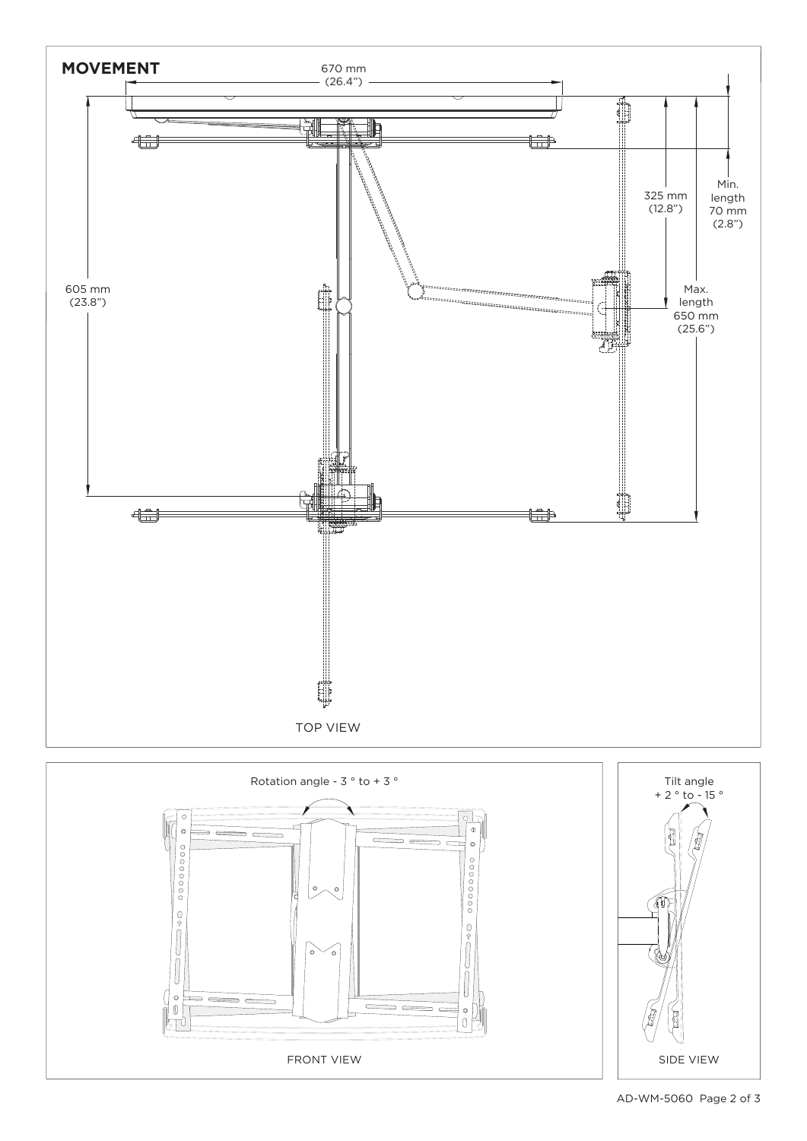